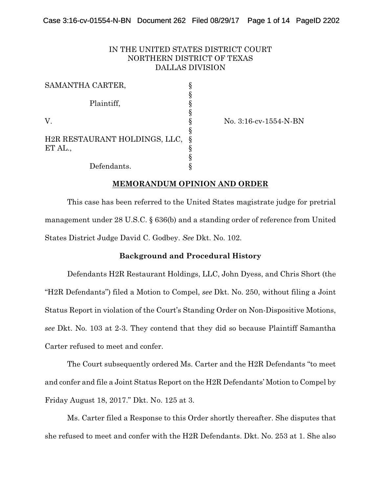# IN THE UNITED STATES DISTRICT COURT NORTHERN DISTRICT OF TEXAS DALLAS DIVISION

| SAMANTHA CARTER,              |  |
|-------------------------------|--|
|                               |  |
| Plaintiff,                    |  |
|                               |  |
| V.                            |  |
|                               |  |
| H2R RESTAURANT HOLDINGS, LLC, |  |
| ET AL.,                       |  |
|                               |  |
| Defendants.                   |  |

No. 3:16-cv-1554-N-BN

# **MEMORANDUM OPINION AND ORDER**

This case has been referred to the United States magistrate judge for pretrial management under 28 U.S.C. § 636(b) and a standing order of reference from United States District Judge David C. Godbey. *See* Dkt. No. 102.

## **Background and Procedural History**

Defendants H2R Restaurant Holdings, LLC, John Dyess, and Chris Short (the "H2R Defendants") filed a Motion to Compel, *see* Dkt. No. 250, without filing a Joint Status Report in violation of the Court's Standing Order on Non-Dispositive Motions, *see* Dkt. No. 103 at 2-3. They contend that they did so because Plaintiff Samantha Carter refused to meet and confer.

The Court subsequently ordered Ms. Carter and the H2R Defendants "to meet and confer and file a Joint Status Report on the H2R Defendants' Motion to Compel by Friday August 18, 2017." Dkt. No. 125 at 3.

Ms. Carter filed a Response to this Order shortly thereafter. She disputes that she refused to meet and confer with the H2R Defendants. Dkt. No. 253 at 1. She also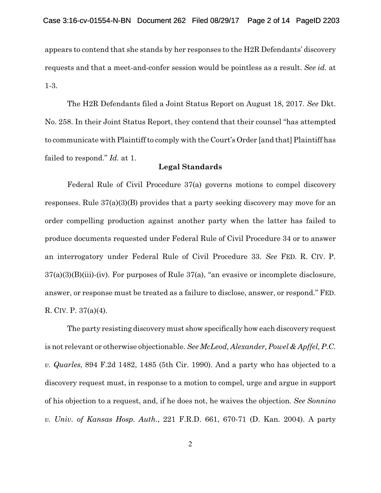appears to contend that she stands by her responses to the H2R Defendants' discovery requests and that a meet-and-confer session would be pointless as a result. *See id.* at 1-3.

The H2R Defendants filed a Joint Status Report on August 18, 2017. *See* Dkt. No. 258. In their Joint Status Report, they contend that their counsel "has attempted to communicate with Plaintiff to comply with the Court's Order [and that] Plaintiff has failed to respond." *Id.* at 1.

#### **Legal Standards**

Federal Rule of Civil Procedure 37(a) governs motions to compel discovery responses. Rule 37(a)(3)(B) provides that a party seeking discovery may move for an order compelling production against another party when the latter has failed to produce documents requested under Federal Rule of Civil Procedure 34 or to answer an interrogatory under Federal Rule of Civil Procedure 33. *See* FED. R. CIV. P. 37(a)(3)(B)(iii)-(iv). For purposes of Rule 37(a), "an evasive or incomplete disclosure, answer, or response must be treated as a failure to disclose, answer, or respond." FED. R. CIV. P. 37(a)(4).

The party resisting discovery must show specifically how each discovery request is not relevant or otherwise objectionable. *See McLeod, Alexander, Powel & Apffel, P.C. v. Quarles*, 894 F.2d 1482, 1485 (5th Cir. 1990). And a party who has objected to a discovery request must, in response to a motion to compel, urge and argue in support of his objection to a request, and, if he does not, he waives the objection. *See Sonnino v. Univ. of Kansas Hosp. Auth.*, 221 F.R.D. 661, 670-71 (D. Kan. 2004). A party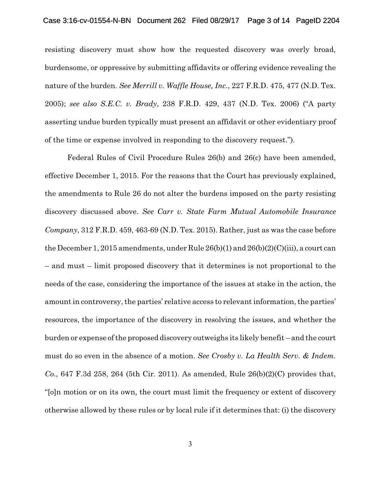#### Case 3:16-cv-01554-N-BN Document 262 Filed 08/29/17 Page 3 of 14 PageID 2204

resisting discovery must show how the requested discovery was overly broad, burdensome, or oppressive by submitting affidavits or offering evidence revealing the nature of the burden. *See Merrill v. Waffle House, Inc.*, 227 F.R.D. 475, 477 (N.D. Tex. 2005); *see also S.E.C. v. Brady*, 238 F.R.D. 429, 437 (N.D. Tex. 2006) ("A party asserting undue burden typically must present an affidavit or other evidentiary proof of the time or expense involved in responding to the discovery request.").

Federal Rules of Civil Procedure Rules 26(b) and 26(c) have been amended, effective December 1, 2015. For the reasons that the Court has previously explained, the amendments to Rule 26 do not alter the burdens imposed on the party resisting discovery discussed above. *See Carr v. State Farm Mutual Automobile Insurance Company*, 312 F.R.D. 459, 463-69 (N.D. Tex. 2015). Rather, just as was the case before the December 1, 2015 amendments, under Rule  $26(b)(1)$  and  $26(b)(2)(C)(iii)$ , a court can – and must – limit proposed discovery that it determines is not proportional to the needs of the case, considering the importance of the issues at stake in the action, the amount in controversy, the parties' relative access to relevant information, the parties' resources, the importance of the discovery in resolving the issues, and whether the burden or expense of the proposed discovery outweighs its likely benefit – and the court must do so even in the absence of a motion. *See Crosby v. La Health Serv. & Indem. Co.*, 647 F.3d 258, 264 (5th Cir. 2011). As amended, Rule 26(b)(2)(C) provides that, "[o]n motion or on its own, the court must limit the frequency or extent of discovery otherwise allowed by these rules or by local rule if it determines that: (i) the discovery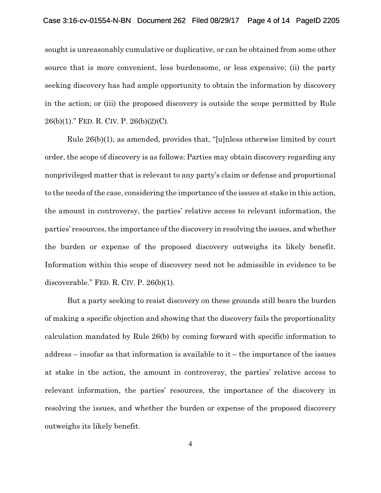sought is unreasonably cumulative or duplicative, or can be obtained from some other source that is more convenient, less burdensome, or less expensive; (ii) the party seeking discovery has had ample opportunity to obtain the information by discovery in the action; or (iii) the proposed discovery is outside the scope permitted by Rule 26(b)(1)." FED. R. CIV. P. 26(b)(2)(C).

Rule 26(b)(1), as amended, provides that, "[u]nless otherwise limited by court order, the scope of discovery is as follows: Parties may obtain discovery regarding any nonprivileged matter that is relevant to any party's claim or defense and proportional to the needs of the case, considering the importance of the issues at stake in this action, the amount in controversy, the parties' relative access to relevant information, the parties' resources, the importance of the discovery in resolving the issues, and whether the burden or expense of the proposed discovery outweighs its likely benefit. Information within this scope of discovery need not be admissible in evidence to be discoverable." FED. R. CIV. P. 26(b)(1).

But a party seeking to resist discovery on these grounds still bears the burden of making a specific objection and showing that the discovery fails the proportionality calculation mandated by Rule 26(b) by coming forward with specific information to address – insofar as that information is available to it – the importance of the issues at stake in the action, the amount in controversy, the parties' relative access to relevant information, the parties' resources, the importance of the discovery in resolving the issues, and whether the burden or expense of the proposed discovery outweighs its likely benefit.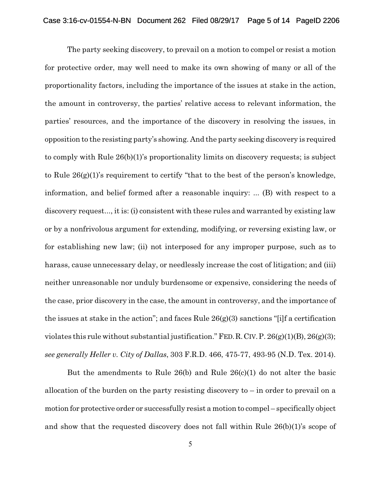The party seeking discovery, to prevail on a motion to compel or resist a motion for protective order, may well need to make its own showing of many or all of the proportionality factors, including the importance of the issues at stake in the action, the amount in controversy, the parties' relative access to relevant information, the parties' resources, and the importance of the discovery in resolving the issues, in opposition to the resisting party's showing. And the party seeking discovery is required to comply with Rule 26(b)(1)'s proportionality limits on discovery requests; is subject to Rule 26(g)(1)'s requirement to certify "that to the best of the person's knowledge, information, and belief formed after a reasonable inquiry: ... (B) with respect to a discovery request..., it is: (i) consistent with these rules and warranted by existing law or by a nonfrivolous argument for extending, modifying, or reversing existing law, or for establishing new law; (ii) not interposed for any improper purpose, such as to harass, cause unnecessary delay, or needlessly increase the cost of litigation; and (iii) neither unreasonable nor unduly burdensome or expensive, considering the needs of the case, prior discovery in the case, the amount in controversy, and the importance of the issues at stake in the action"; and faces Rule  $26(g)(3)$  sanctions "[i]f a certification violates this rule without substantial justification." FED. R. CIV. P.  $26(g)(1)(B)$ ,  $26(g)(3)$ ; *see generally Heller v. City of Dallas*, 303 F.R.D. 466, 475-77, 493-95 (N.D. Tex. 2014).

But the amendments to Rule 26(b) and Rule  $26(c)(1)$  do not alter the basic allocation of the burden on the party resisting discovery to – in order to prevail on a motion for protective order or successfully resist a motion to compel – specifically object and show that the requested discovery does not fall within Rule 26(b)(1)'s scope of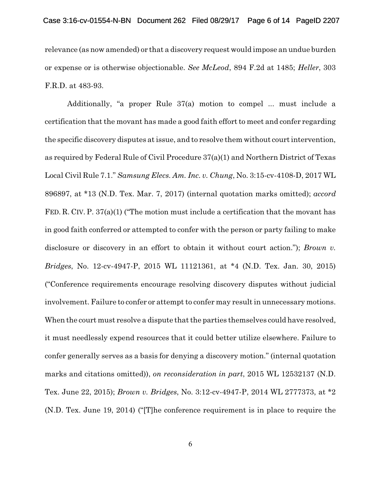relevance (as now amended) or that a discovery request would impose an undue burden or expense or is otherwise objectionable. *See McLeod*, 894 F.2d at 1485; *Heller*, 303 F.R.D. at 483-93.

Additionally, "a proper Rule 37(a) motion to compel ... must include a certification that the movant has made a good faith effort to meet and confer regarding the specific discovery disputes at issue, and to resolve them without court intervention, as required by Federal Rule of Civil Procedure 37(a)(1) and Northern District of Texas Local Civil Rule 7.1." *Samsung Elecs. Am. Inc. v. Chung*, No. 3:15-cv-4108-D, 2017 WL 896897, at \*13 (N.D. Tex. Mar. 7, 2017) (internal quotation marks omitted); *accord* FED. R. CIV. P. 37(a)(1) ("The motion must include a certification that the movant has in good faith conferred or attempted to confer with the person or party failing to make disclosure or discovery in an effort to obtain it without court action."); *Brown v. Bridges*, No. 12-cv-4947-P, 2015 WL 11121361, at \*4 (N.D. Tex. Jan. 30, 2015) ("Conference requirements encourage resolving discovery disputes without judicial involvement. Failure to confer or attempt to confer may result in unnecessary motions. When the court must resolve a dispute that the parties themselves could have resolved, it must needlessly expend resources that it could better utilize elsewhere. Failure to confer generally serves as a basis for denying a discovery motion." (internal quotation marks and citations omitted)), *on reconsideration in part*, 2015 WL 12532137 (N.D. Tex. June 22, 2015); *Brown v. Bridges*, No. 3:12-cv-4947-P, 2014 WL 2777373, at \*2 (N.D. Tex. June 19, 2014) ("[T]he conference requirement is in place to require the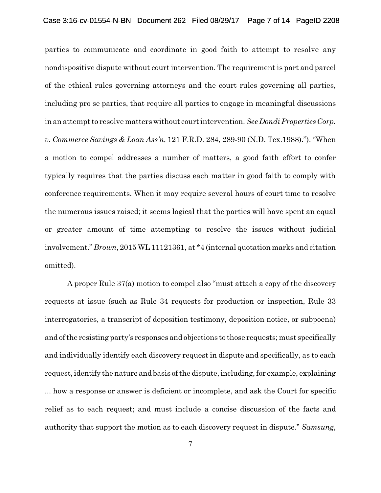parties to communicate and coordinate in good faith to attempt to resolve any nondispositive dispute without court intervention. The requirement is part and parcel of the ethical rules governing attorneys and the court rules governing all parties, including pro se parties, that require all parties to engage in meaningful discussions in an attempt to resolve matters without court intervention. *See Dondi Properties Corp. v. Commerce Savings & Loan Ass'n*, 121 F.R.D. 284, 289-90 (N.D. Tex.1988)."). "When a motion to compel addresses a number of matters, a good faith effort to confer typically requires that the parties discuss each matter in good faith to comply with conference requirements. When it may require several hours of court time to resolve the numerous issues raised; it seems logical that the parties will have spent an equal or greater amount of time attempting to resolve the issues without judicial involvement." *Brown*, 2015 WL 11121361, at \*4 (internal quotation marks and citation omitted).

A proper Rule 37(a) motion to compel also "must attach a copy of the discovery requests at issue (such as Rule 34 requests for production or inspection, Rule 33 interrogatories, a transcript of deposition testimony, deposition notice, or subpoena) and of the resisting party's responses and objections to those requests; must specifically and individually identify each discovery request in dispute and specifically, as to each request, identify the nature and basis of the dispute, including, for example, explaining ... how a response or answer is deficient or incomplete, and ask the Court for specific relief as to each request; and must include a concise discussion of the facts and authority that support the motion as to each discovery request in dispute." *Samsung*,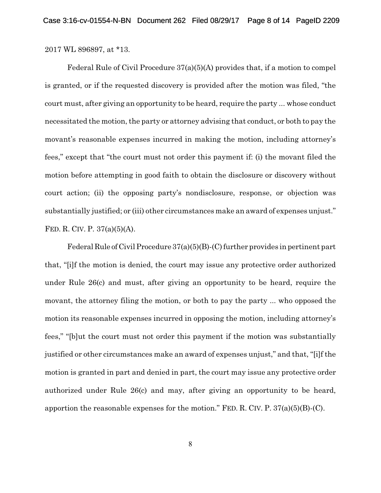2017 WL 896897, at \*13.

Federal Rule of Civil Procedure 37(a)(5)(A) provides that, if a motion to compel is granted, or if the requested discovery is provided after the motion was filed, "the court must, after giving an opportunity to be heard, require the party ... whose conduct necessitated the motion, the party or attorney advising that conduct, or both to pay the movant's reasonable expenses incurred in making the motion, including attorney's fees," except that "the court must not order this payment if: (i) the movant filed the motion before attempting in good faith to obtain the disclosure or discovery without court action; (ii) the opposing party's nondisclosure, response, or objection was substantially justified; or (iii) other circumstances make an award of expenses unjust." FED. R. CIV. P. 37(a)(5)(A).

Federal Rule of Civil Procedure  $37(a)(5)(B)-(C)$  further provides in pertinent part that, "[i]f the motion is denied, the court may issue any protective order authorized under Rule 26(c) and must, after giving an opportunity to be heard, require the movant, the attorney filing the motion, or both to pay the party ... who opposed the motion its reasonable expenses incurred in opposing the motion, including attorney's fees," "[b]ut the court must not order this payment if the motion was substantially justified or other circumstances make an award of expenses unjust," and that, "[i]f the motion is granted in part and denied in part, the court may issue any protective order authorized under Rule 26(c) and may, after giving an opportunity to be heard, apportion the reasonable expenses for the motion." FED. R. CIV. P.  $37(a)(5)(B)-(C)$ .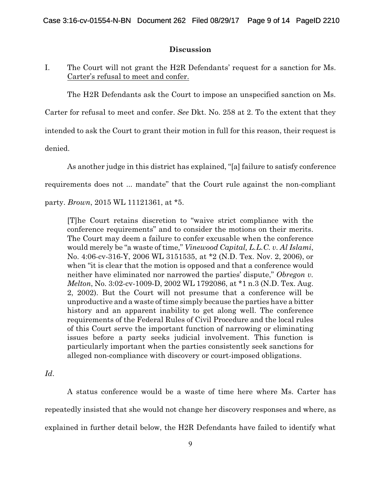## **Discussion**

# I. The Court will not grant the H2R Defendants' request for a sanction for Ms. Carter's refusal to meet and confer.

The H2R Defendants ask the Court to impose an unspecified sanction on Ms.

Carter for refusal to meet and confer. *See* Dkt. No. 258 at 2. To the extent that they

intended to ask the Court to grant their motion in full for this reason, their request is

denied.

As another judge in this district has explained, "[a] failure to satisfy conference requirements does not ... mandate" that the Court rule against the non-compliant party. *Brown*, 2015 WL 11121361, at \*5.

[T]he Court retains discretion to "waive strict compliance with the conference requirements" and to consider the motions on their merits. The Court may deem a failure to confer excusable when the conference would merely be "a waste of time," *Vinewood Capital, L.L.C. v. Al Islami*, No. 4:06-cv-316-Y, 2006 WL 3151535, at \*2 (N.D. Tex. Nov. 2, 2006), or when "it is clear that the motion is opposed and that a conference would neither have eliminated nor narrowed the parties' dispute," *Obregon v. Melton*, No. 3:02-cv-1009-D, 2002 WL 1792086, at \*1 n.3 (N.D. Tex. Aug. 2, 2002). But the Court will not presume that a conference will be unproductive and a waste of time simply because the parties have a bitter history and an apparent inability to get along well. The conference requirements of the Federal Rules of Civil Procedure and the local rules of this Court serve the important function of narrowing or eliminating issues before a party seeks judicial involvement. This function is particularly important when the parties consistently seek sanctions for alleged non-compliance with discovery or court-imposed obligations.

*Id*.

A status conference would be a waste of time here where Ms. Carter has repeatedly insisted that she would not change her discovery responses and where, as explained in further detail below, the H2R Defendants have failed to identify what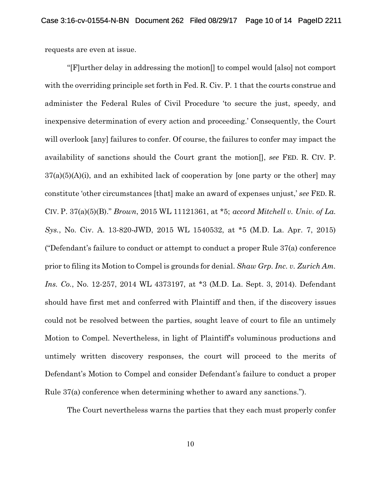requests are even at issue.

"[F]urther delay in addressing the motion[] to compel would [also] not comport with the overriding principle set forth in Fed. R. Civ. P. 1 that the courts construe and administer the Federal Rules of Civil Procedure 'to secure the just, speedy, and inexpensive determination of every action and proceeding.' Consequently, the Court will overlook [any] failures to confer. Of course, the failures to confer may impact the availability of sanctions should the Court grant the motion[], *see* FED. R. CIV. P.  $37(a)(5)(A)(i)$ , and an exhibited lack of cooperation by [one party or the other] may constitute 'other circumstances [that] make an award of expenses unjust,' *see* FED. R. CIV. P. 37(a)(5)(B)." *Brown*, 2015 WL 11121361, at \*5; *accord Mitchell v. Univ. of La. Sys.*, No. Civ. A. 13-820-JWD, 2015 WL 1540532, at \*5 (M.D. La. Apr. 7, 2015) ("Defendant's failure to conduct or attempt to conduct a proper Rule 37(a) conference prior to filing its Motion to Compel is grounds for denial. *Shaw Grp. Inc. v. Zurich Am. Ins. Co.*, No. 12-257, 2014 WL 4373197, at \*3 (M.D. La. Sept. 3, 2014). Defendant should have first met and conferred with Plaintiff and then, if the discovery issues could not be resolved between the parties, sought leave of court to file an untimely Motion to Compel. Nevertheless, in light of Plaintiff's voluminous productions and untimely written discovery responses, the court will proceed to the merits of Defendant's Motion to Compel and consider Defendant's failure to conduct a proper Rule 37(a) conference when determining whether to award any sanctions.").

The Court nevertheless warns the parties that they each must properly confer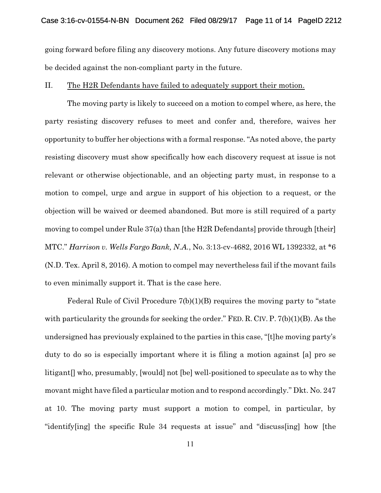going forward before filing any discovery motions. Any future discovery motions may be decided against the non-compliant party in the future.

#### II. The H2R Defendants have failed to adequately support their motion.

The moving party is likely to succeed on a motion to compel where, as here, the party resisting discovery refuses to meet and confer and, therefore, waives her opportunity to buffer her objections with a formal response. "As noted above, the party resisting discovery must show specifically how each discovery request at issue is not relevant or otherwise objectionable, and an objecting party must, in response to a motion to compel, urge and argue in support of his objection to a request, or the objection will be waived or deemed abandoned. But more is still required of a party moving to compel under Rule 37(a) than [the H2R Defendants] provide through [their] MTC." *Harrison v. Wells Fargo Bank, N.A.*, No. 3:13-cv-4682, 2016 WL 1392332, at \*6 (N.D. Tex. April 8, 2016). A motion to compel may nevertheless fail if the movant fails to even minimally support it. That is the case here.

Federal Rule of Civil Procedure 7(b)(1)(B) requires the moving party to "state with particularity the grounds for seeking the order." FED. R. CIV. P.  $7(b)(1)(B)$ . As the undersigned has previously explained to the parties in this case, "[t]he moving party's duty to do so is especially important where it is filing a motion against [a] pro se litigant[] who, presumably, [would] not [be] well-positioned to speculate as to why the movant might have filed a particular motion and to respond accordingly." Dkt. No. 247 at 10. The moving party must support a motion to compel, in particular, by "identify[ing] the specific Rule 34 requests at issue" and "discuss[ing] how [the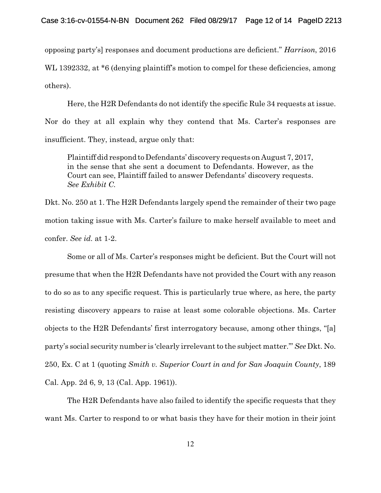opposing party's] responses and document productions are deficient." *Harrison*, 2016 WL 1392332, at  $*6$  (denying plaintiff's motion to compel for these deficiencies, among others).

Here, the H2R Defendants do not identify the specific Rule 34 requests at issue. Nor do they at all explain why they contend that Ms. Carter's responses are insufficient. They, instead, argue only that:

Plaintiff did respond to Defendants' discovery requests on August 7, 2017, in the sense that she sent a document to Defendants. However, as the Court can see, Plaintiff failed to answer Defendants' discovery requests. *See Exhibit C.*

Dkt. No. 250 at 1. The H2R Defendants largely spend the remainder of their two page motion taking issue with Ms. Carter's failure to make herself available to meet and confer. *See id.* at 1-2.

Some or all of Ms. Carter's responses might be deficient. But the Court will not presume that when the H2R Defendants have not provided the Court with any reason to do so as to any specific request. This is particularly true where, as here, the party resisting discovery appears to raise at least some colorable objections. Ms. Carter objects to the H2R Defendants' first interrogatory because, among other things, "[a] party's social security number is 'clearly irrelevant to the subject matter.'" *See* Dkt. No. 250, Ex. C at 1 (quoting *Smith v. Superior Court in and for San Joaquin County*, 189 Cal. App. 2d 6, 9, 13 (Cal. App. 1961)).

The H2R Defendants have also failed to identify the specific requests that they want Ms. Carter to respond to or what basis they have for their motion in their joint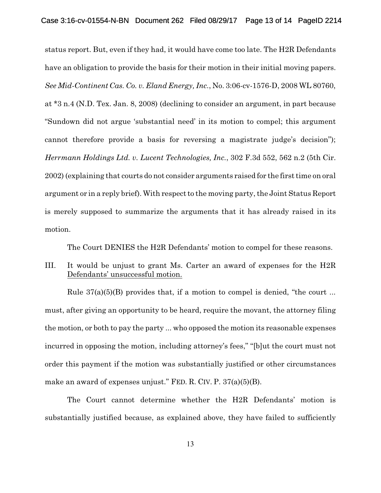status report. But, even if they had, it would have come too late. The H2R Defendants have an obligation to provide the basis for their motion in their initial moving papers. *See Mid-Continent Cas. Co. v. Eland Energy, Inc.*, No. 3:06-cv-1576-D, 2008 WL 80760, at \*3 n.4 (N.D. Tex. Jan. 8, 2008) (declining to consider an argument, in part because "Sundown did not argue 'substantial need' in its motion to compel; this argument cannot therefore provide a basis for reversing a magistrate judge's decision"); *Herrmann Holdings Ltd. v. Lucent Technologies, Inc.*, 302 F.3d 552, 562 n.2 (5th Cir. 2002) (explaining that courts do not consider arguments raised for the first time on oral argument or in a reply brief). With respect to the moving party, the Joint Status Report is merely supposed to summarize the arguments that it has already raised in its motion.

The Court DENIES the H2R Defendants' motion to compel for these reasons.

III. It would be unjust to grant Ms. Carter an award of expenses for the H2R Defendants' unsuccessful motion.

Rule  $37(a)(5)(B)$  provides that, if a motion to compel is denied, "the court ... must, after giving an opportunity to be heard, require the movant, the attorney filing the motion, or both to pay the party ... who opposed the motion its reasonable expenses incurred in opposing the motion, including attorney's fees," "[b]ut the court must not order this payment if the motion was substantially justified or other circumstances make an award of expenses unjust." FED. R. CIV. P. 37(a)(5)(B).

The Court cannot determine whether the H2R Defendants' motion is substantially justified because, as explained above, they have failed to sufficiently